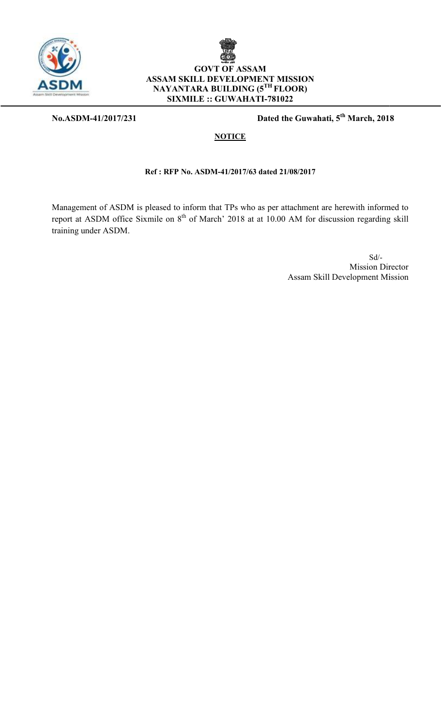

**No.ASDM-41/2017/231**



**231** Dated the Guwahati,  $5^{th}$  March, 2018

#### **NOTICE**

#### **Ref : RFP No. ASDM-41/2017/63 dated 21/08/2017**

Management of ASDM is pleased to inform that TPs who as per attachment are Management of ASDM is pleased to inform that TPs who as per attachment are report at ASDM office Sixmile on 8<sup>th</sup> of March' 2018 at at 10.00 AM for discu training under ASDM. herewith informed 10.00 AM for discussion regarding informed to skill

> Sd/- Mission Director Assam Skill Development Mission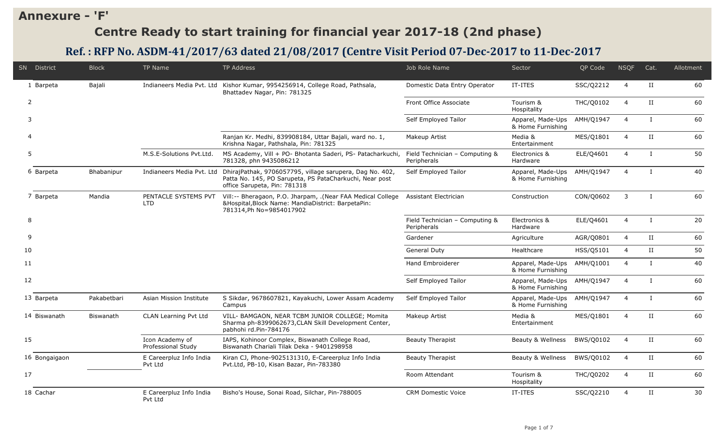### **Annexure - 'F'**

# **Centre Ready to start training for financial year 2017-18 (2nd phase)**

## **Ref. : RFP No. ASDM-41/2017/63 dated 21/08/2017 (Centre Visit Period 07-Dec-2017 to 11-Dec-2017**

|                | SN District   | <b>Block</b>     | <b>TP Name</b>                        | <b>TP Address</b>                                                                                                                                   | Job Role Name                                 | Sector                                 | QP Code          | <b>NSQF</b>    | Cat.          | Allotment |
|----------------|---------------|------------------|---------------------------------------|-----------------------------------------------------------------------------------------------------------------------------------------------------|-----------------------------------------------|----------------------------------------|------------------|----------------|---------------|-----------|
|                | 1 Barpeta     | Bajali           |                                       | Indianeers Media Pvt. Ltd Kishor Kumar, 9954256914, College Road, Pathsala,<br>Bhattadev Nagar, Pin: 781325                                         | Domestic Data Entry Operator                  | IT-ITES                                | SSC/Q2212        | $\overline{4}$ | $_{\rm II}$   | 60        |
| $\overline{2}$ |               |                  |                                       |                                                                                                                                                     | Front Office Associate                        | Tourism &<br>Hospitality               | <b>THC/Q0102</b> | $\overline{4}$ | П             | 60        |
| 3              |               |                  |                                       |                                                                                                                                                     | Self Employed Tailor                          | Apparel, Made-Ups<br>& Home Furnishing | AMH/Q1947        | $\overline{4}$ | L             | 60        |
|                |               |                  |                                       | Ranjan Kr. Medhi, 839908184, Uttar Bajali, ward no. 1,<br>Krishna Nagar, Pathshala, Pin: 781325                                                     | Makeup Artist                                 | Media &<br>Entertainment               | MES/Q1801        | $\overline{4}$ | $_{\rm II}$   | 60        |
| 5              |               |                  | M.S.E-Solutions Pyt.Ltd.              | MS Academy, Vill + PO- Bhotanta Saderi, PS- Patacharkuchi,<br>781328, phn 9435086212                                                                | Field Technician - Computing &<br>Peripherals | Electronics &<br>Hardware              | ELE/Q4601        | $\overline{4}$ | $\mathbf{I}$  | 50        |
|                | 6 Barpeta     | Bhabanipur       | Indianeers Media Pvt. Ltd             | DhirajPathak, 9706057795, village sarupera, Dag No. 402,<br>Patta No. 145, PO Sarupeta, PS PataCharkuchi, Near post<br>office Sarupeta, Pin: 781318 | Self Employed Tailor                          | Apparel, Made-Ups<br>& Home Furnishing | AMH/Q1947        | $\overline{4}$ | $\mathbf{I}$  | 40        |
|                | 7 Barpeta     | Mandia           | PENTACLE SYSTEMS PVT<br><b>LTD</b>    | Vill:-- Bheragaon, P.O. Jharpam, .(Near FAA Medical College<br>&Hospital, Block Name: MandiaDistrict: BarpetaPin:<br>781314, Ph No=9854017902       | Assistant Electrician                         | Construction                           | CON/Q0602        | 3              | $\mathbf{I}$  | 60        |
| 8              |               |                  |                                       |                                                                                                                                                     | Field Technician - Computing &<br>Peripherals | Electronics &<br>Hardware              | ELE/Q4601        | $\overline{4}$ | $\bf{I}$      | 20        |
| 9              |               |                  |                                       |                                                                                                                                                     | Gardener                                      | Agriculture                            | AGR/Q0801        | $\overline{4}$ | $_{\rm II}$   | 60        |
| 10             |               |                  |                                       |                                                                                                                                                     | General Duty                                  | Healthcare                             | HSS/Q5101        | $\overline{4}$ | $_{\rm II}$   | 50        |
| 11             |               |                  |                                       |                                                                                                                                                     | Hand Embroiderer                              | Apparel, Made-Ups<br>& Home Furnishing | AMH/Q1001        | 4              | $\mathbf{I}$  | 40        |
| 12             |               |                  |                                       |                                                                                                                                                     | Self Employed Tailor                          | Apparel, Made-Ups<br>& Home Furnishing | AMH/Q1947        | $\overline{4}$ | $\mathbf{I}$  | 60        |
|                | 13 Barpeta    | Pakabetbari      | Asian Mission Institute               | S Sikdar, 9678607821, Kayakuchi, Lower Assam Academy<br>Campus                                                                                      | Self Employed Tailor                          | Apparel, Made-Ups<br>& Home Furnishing | AMH/Q1947        | $\overline{4}$ | $\bf{I}$      | 60        |
|                | 14 Biswanath  | <b>Biswanath</b> | CLAN Learning Pvt Ltd                 | VILL- BAMGAON, NEAR TCBM JUNIOR COLLEGE; Momita<br>Sharma ph-8399062673, CLAN Skill Development Center,<br>pabhohi rd.Pin-784176                    | Makeup Artist                                 | Media &<br>Entertainment               | MES/Q1801        | $\overline{4}$ | $\mathbf{II}$ | 60        |
| 15             |               |                  | Icon Academy of<br>Professional Study | IAPS, Kohinoor Complex, Biswanath College Road,<br>Biswanath Chariali Tilak Deka - 9401298958                                                       | <b>Beauty Therapist</b>                       | Beauty & Wellness                      | BWS/Q0102        | $\overline{4}$ | $_{II}$       | 60        |
|                | 16 Bongaigaon |                  | E Careerpluz Info India<br>Pvt Ltd    | Kiran CJ, Phone-9025131310, E-Careerpluz Info India<br>Pvt.Ltd, PB-10, Kisan Bazar, Pin-783380                                                      | <b>Beauty Therapist</b>                       | Beauty & Wellness                      | BWS/Q0102        | 4              | П             | 60        |
| 17             |               |                  |                                       |                                                                                                                                                     | Room Attendant                                | Tourism &<br>Hospitality               | THC/Q0202        | $\overline{4}$ | $_{\rm II}$   | 60        |
|                | 18 Cachar     |                  | E Careerpluz Info India<br>Pvt Ltd    | Bisho's House, Sonai Road, Silchar, Pin-788005                                                                                                      | <b>CRM Domestic Voice</b>                     | IT-ITES                                | SSC/Q2210        | $\overline{4}$ | $_{\rm II}$   | 30        |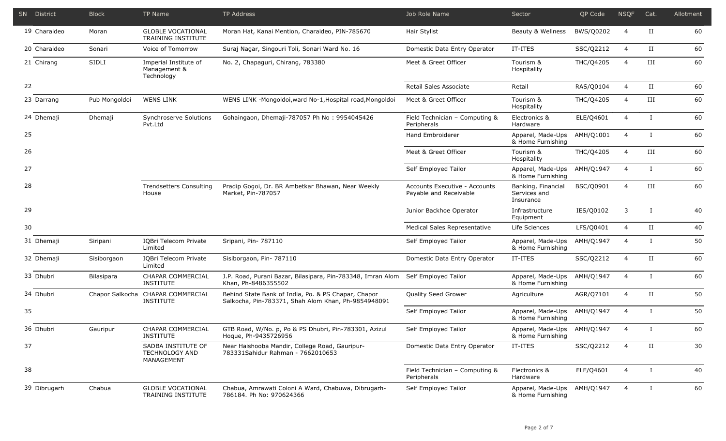|    | SN District  | <b>Block</b>      | TP Name                                                   | TP Address                                                                                                 | Job Role Name                                           | Sector                                          | QP Code   | <b>NSQF</b>    | Cat.         | Allotment |
|----|--------------|-------------------|-----------------------------------------------------------|------------------------------------------------------------------------------------------------------------|---------------------------------------------------------|-------------------------------------------------|-----------|----------------|--------------|-----------|
|    | 19 Charaideo | Moran             | <b>GLOBLE VOCATIONAL</b><br><b>TRAINING INSTITUTE</b>     | Moran Hat, Kanai Mention, Charaideo, PIN-785670                                                            | Hair Stylist                                            | Beauty & Wellness                               | BWS/Q0202 | $\overline{4}$ | П            | 60        |
|    | 20 Charaideo | Sonari            | Voice of Tomorrow                                         | Suraj Nagar, Singouri Toli, Sonari Ward No. 16                                                             | Domestic Data Entry Operator                            | IT-ITES                                         | SSC/Q2212 | 4              | $_{\rm II}$  | 60        |
|    | 21 Chirang   | SIDLI             | Imperial Institute of<br>Management &<br>Technology       | No. 2, Chapaguri, Chirang, 783380                                                                          | Meet & Greet Officer                                    | Tourism &<br>Hospitality                        | THC/Q4205 | $\overline{4}$ | III          | 60        |
| 22 |              |                   |                                                           |                                                                                                            | Retail Sales Associate                                  | Retail                                          | RAS/Q0104 | $\overline{4}$ | $_{\rm II}$  | 60        |
|    | 23 Darrang   | Pub Mongoldoi     | <b>WENS LINK</b>                                          | WENS LINK -Mongoldoi, ward No-1, Hospital road, Mongoldoi                                                  | Meet & Greet Officer                                    | Tourism &<br>Hospitality                        | THC/Q4205 | 4              | Ш            | 60        |
|    | 24 Dhemaji   | Dhemaji           | Synchroserve Solutions<br>Pvt.Ltd                         | Gohaingaon, Dhemaji-787057 Ph No: 9954045426                                                               | Field Technician - Computing &<br>Peripherals           | Electronics &<br>Hardware                       | ELE/Q4601 | $\overline{4}$ | $\mathbf{I}$ | 60        |
| 25 |              |                   |                                                           |                                                                                                            | Hand Embroiderer                                        | Apparel, Made-Ups<br>& Home Furnishing          | AMH/Q1001 | $\overline{4}$ | $\mathsf{I}$ | 60        |
| 26 |              |                   |                                                           |                                                                                                            | Meet & Greet Officer                                    | Tourism &<br>Hospitality                        | THC/Q4205 | $\overline{4}$ | III          | 60        |
| 27 |              |                   |                                                           |                                                                                                            | Self Employed Tailor                                    | Apparel, Made-Ups<br>& Home Furnishing          | AMH/Q1947 | $\overline{4}$ | $\mathbf{I}$ | 60        |
| 28 |              |                   | <b>Trendsetters Consulting</b><br>House                   | Pradip Gogoi, Dr. BR Ambetkar Bhawan, Near Weekly<br>Market, Pin-787057                                    | Accounts Executive - Accounts<br>Payable and Receivable | Banking, Financial<br>Services and<br>Insurance | BSC/Q0901 | $\overline{4}$ | III          | 60        |
| 29 |              |                   |                                                           |                                                                                                            | Junior Backhoe Operator                                 | Infrastructure<br>Equipment                     | IES/Q0102 | 3              | L            | 40        |
| 30 |              |                   |                                                           |                                                                                                            | Medical Sales Representative                            | Life Sciences                                   | LFS/Q0401 | $\overline{4}$ | $_{\rm II}$  | 40        |
|    | 31 Dhemaji   | Siripani          | IQBri Telecom Private<br>Limited                          | Sripani, Pin- 787110                                                                                       | Self Employed Tailor                                    | Apparel, Made-Ups<br>& Home Furnishing          | AMH/Q1947 | $\overline{4}$ | L            | 50        |
|    | 32 Dhemaji   | Sisiborgaon       | IQBri Telecom Private<br>Limited                          | Sisiborgaon, Pin- 787110                                                                                   | Domestic Data Entry Operator                            | IT-ITES                                         | SSC/Q2212 | $\overline{4}$ | П            | 60        |
|    | 33 Dhubri    | <b>Bilasipara</b> | CHAPAR COMMERCIAL<br><b>INSTITUTE</b>                     | J.P. Road, Purani Bazar, Bilasipara, Pin-783348, Imran Alom<br>Khan, Ph-8486355502                         | Self Employed Tailor                                    | Apparel, Made-Ups<br>& Home Furnishing          | AMH/Q1947 | $\overline{4}$ | $\mathbf{I}$ | 60        |
|    | 34 Dhubri    | Chapor Salkocha   | CHAPAR COMMERCIAL<br><b>INSTITUTE</b>                     | Behind State Bank of India, Po. & PS Chapar, Chapor<br>Salkocha, Pin-783371, Shah Alom Khan, Ph-9854948091 | Quality Seed Grower                                     | Agriculture                                     | AGR/Q7101 | $\overline{4}$ | П            | 50        |
| 35 |              |                   |                                                           |                                                                                                            | Self Employed Tailor                                    | Apparel, Made-Ups<br>& Home Furnishing          | AMH/Q1947 | $\overline{4}$ | $\bf{I}$     | 50        |
|    | 36 Dhubri    | Gauripur          | CHAPAR COMMERCIAL<br><b>INSTITUTE</b>                     | GTB Road, W/No. p, Po & PS Dhubri, Pin-783301, Azizul<br>Hoque, Ph-9435726956                              | Self Emploved Tailor                                    | Apparel, Made-Ups<br>& Home Furnishing          | AMH/Q1947 | 4              | $\bf{I}$     | 60        |
| 37 |              |                   | SADBA INSTITUTE OF<br><b>TECHNOLOGY AND</b><br>MANAGEMENT | Near Haishooba Mandir, College Road, Gauripur-<br>783331Sahidur Rahman - 7662010653                        | Domestic Data Entry Operator                            | IT-ITES                                         | SSC/Q2212 | 4              | П            | 30        |
| 38 |              |                   |                                                           |                                                                                                            | Field Technician - Computing &<br>Peripherals           | Electronics &<br>Hardware                       | ELE/Q4601 | 4              | $\bf{I}$     | 40        |
|    | 39 Dibrugarh | Chabua            | <b>GLOBLE VOCATIONAL</b><br>TRAINING INSTITUTE            | Chabua, Amrawati Coloni A Ward, Chabuwa, Dibrugarh-<br>786184. Ph No: 970624366                            | Self Employed Tailor                                    | Apparel, Made-Ups<br>& Home Furnishing          | AMH/Q1947 | $\overline{4}$ | Ι.           | 60        |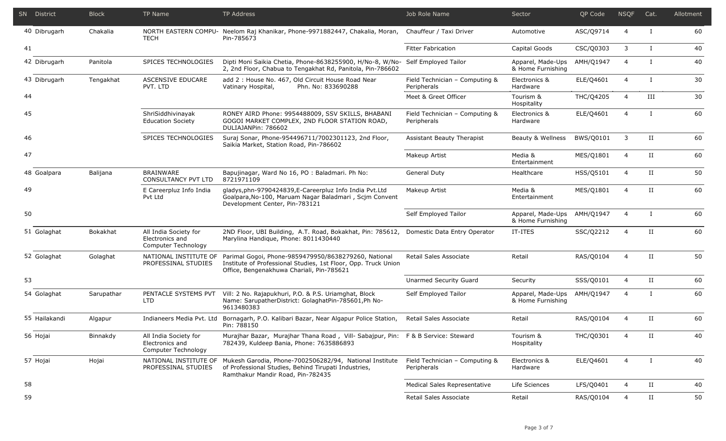| SN District   | <b>Block</b> | TP Name                                                         | TP Address                                                                                                                                                                 | Job Role Name                                 | Sector                                 | QP Code   | <b>NSQF</b>    | Cat.         | Allotment |
|---------------|--------------|-----------------------------------------------------------------|----------------------------------------------------------------------------------------------------------------------------------------------------------------------------|-----------------------------------------------|----------------------------------------|-----------|----------------|--------------|-----------|
| 40 Dibrugarh  | Chakalia     | <b>TECH</b>                                                     | NORTH EASTERN COMPU- Neelom Raj Khanikar, Phone-9971882447, Chakalia, Moran,<br>Pin-785673                                                                                 | Chauffeur / Taxi Driver                       | Automotive                             | ASC/Q9714 | $\overline{4}$ | $\mathbf{I}$ | 60        |
| 41            |              |                                                                 |                                                                                                                                                                            | <b>Fitter Fabrication</b>                     | Capital Goods                          | CSC/Q0303 | 3              | $\bf{I}$     | 40        |
| 42 Dibrugarh  | Panitola     | SPICES TECHNOLOGIES                                             | Dipti Moni Saikia Chetia, Phone-8638255900, H/No-8, W/No-<br>2, 2nd Floor, Chabua to Tengakhat Rd, Panitola, Pin-786602                                                    | Self Employed Tailor                          | Apparel, Made-Ups<br>& Home Furnishing | AMH/Q1947 | $\overline{4}$ | $\mathbf{I}$ | 40        |
| 43 Dibrugarh  | Tengakhat    | <b>ASCENSIVE EDUCARE</b><br>PVT. LTD                            | add 2: House No. 467, Old Circuit House Road Near<br>Vatinary Hospital,<br>Phn. No: 833690288                                                                              | Field Technician - Computing &<br>Peripherals | Electronics &<br>Hardware              | ELE/Q4601 | $\overline{4}$ | Ι.           | 30        |
| 44            |              |                                                                 |                                                                                                                                                                            | Meet & Greet Officer                          | Tourism &<br>Hospitality               | THC/Q4205 | $\overline{4}$ | III          | 30        |
| 45            |              | ShriSiddhivinayak<br><b>Education Society</b>                   | RONEY AIRD Phone: 9954488009, SSV SKILLS, BHABANI<br>GOGOI MARKET COMPLEX, 2ND FLOOR STATION ROAD,<br>DULIAJANPin: 786602                                                  | Field Technician - Computing &<br>Peripherals | Electronics &<br>Hardware              | ELE/Q4601 | $\overline{4}$ | $\bf{I}$     | 60        |
| 46            |              | SPICES TECHNOLOGIES                                             | Suraj Sonar, Phone-954496711/7002301123, 2nd Floor,<br>Saikia Market, Station Road, Pin-786602                                                                             | Assistant Beauty Therapist                    | Beauty & Wellness                      | BWS/Q0101 | 3              | $_{\rm II}$  | 60        |
| 47            |              |                                                                 |                                                                                                                                                                            | Makeup Artist                                 | Media &<br>Entertainment               | MES/Q1801 | $\overline{4}$ | $_{\rm II}$  | 60        |
| 48 Goalpara   | Balijana     | <b>BRAINWARE</b><br><b>CONSULTANCY PVT LTD</b>                  | Bapujinagar, Ward No 16, PO : Baladmari. Ph No:<br>8721971109                                                                                                              | <b>General Duty</b>                           | Healthcare                             | HSS/Q5101 | $\overline{4}$ | $_{\rm II}$  | 50        |
| 49            |              | E Careerpluz Info India<br>Pvt Ltd                              | gladys, phn-9790424839, E-Careerpluz Info India Pvt. Ltd<br>Goalpara, No-100, Maruam Nagar Baladmari, Scjm Convent<br>Development Center, Pin-783121                       | Makeup Artist                                 | Media &<br>Entertainment               | MES/Q1801 | $\overline{4}$ | $_{\rm II}$  | 60        |
| 50            |              |                                                                 |                                                                                                                                                                            | Self Employed Tailor                          | Apparel, Made-Ups<br>& Home Furnishing | AMH/Q1947 | $\overline{4}$ | $\mathbf{I}$ | 60        |
| 51 Golaghat   | Bokakhat     | All India Society for<br>Electronics and<br>Computer Technology | 2ND Floor, UBI Building, A.T. Road, Bokakhat, Pin: 785612,<br>Marylina Handique, Phone: 8011430440                                                                         | Domestic Data Entry Operator                  | IT-ITES                                | SSC/Q2212 | $\overline{a}$ | $_{\rm II}$  | 60        |
| 52 Golaghat   | Golaghat     | NATIONAL INSTITUTE OF<br>PROFESSINAL STUDIES                    | Parimal Gogoi, Phone-9859479950/8638279260, National<br>Institute of Professional Studies, 1st Floor, Opp. Truck Union<br>Office, Bengenakhuwa Chariali, Pin-785621        | Retail Sales Associate                        | Retail                                 | RAS/Q0104 | $\overline{4}$ | $_{\rm II}$  | 50        |
| 53            |              |                                                                 |                                                                                                                                                                            | Unarmed Security Guard                        | Security                               | SSS/Q0101 | $\overline{4}$ | II           | 60        |
| 54 Golaghat   | Sarupathar   | PENTACLE SYSTEMS PVT<br><b>LTD</b>                              | Vill: 2 No. Rajapukhuri, P.O. & P.S. Uriamghat, Block<br>Name: SarupatherDistrict: GolaghatPin-785601,Ph No-<br>9613480383                                                 | Self Employed Tailor                          | Apparel, Made-Ups<br>& Home Furnishing | AMH/Q1947 | $\overline{4}$ | $\mathbf{I}$ | 60        |
| 55 Hailakandi | Algapur      | Indianeers Media Pyt. Ltd                                       | Bornagarh, P.O. Kalibari Bazar, Near Algapur Police Station,<br>Pin: 788150                                                                                                | Retail Sales Associate                        | Retail                                 | RAS/Q0104 | $\overline{4}$ | $_{\rm II}$  | 60        |
| 56 Hojai      | Binnakdy     | All India Society for<br>Electronics and<br>Computer Technology | Murajhar Bazar, Murajhar Thana Road, Vill- Sabajpur, Pin: F & B Service: Steward<br>782439, Kuldeep Bania, Phone: 7635886893                                               |                                               | Tourism &<br>Hospitality               | THC/Q0301 | $\overline{4}$ | $\mathbf{H}$ | 40        |
| 57 Hojai      | Hojai        | PROFESSINAL STUDIES                                             | NATIONAL INSTITUTE OF Mukesh Garodia, Phone-7002506282/94, National Institute<br>of Professional Studies, Behind Tirupati Industries,<br>Ramthakur Mandir Road, Pin-782435 | Field Technician - Computing &<br>Peripherals | Electronics &<br>Hardware              | ELE/Q4601 | $\overline{4}$ | $\bf{I}$     | 40        |
| 58            |              |                                                                 |                                                                                                                                                                            | Medical Sales Representative                  | Life Sciences                          | LFS/Q0401 | $\overline{4}$ | $\rm II$     | 40        |
| 59            |              |                                                                 |                                                                                                                                                                            | Retail Sales Associate                        | Retail                                 | RAS/Q0104 | $\overline{4}$ | $_{\rm II}$  | 50        |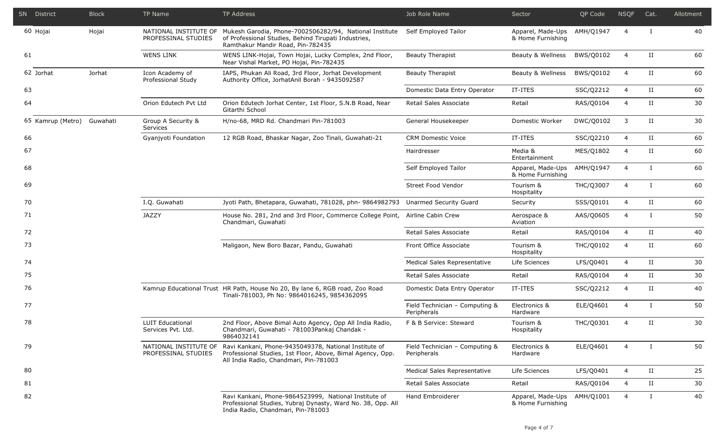|    | SN District                | <b>Block</b> | TP Name                                       | TP Address                                                                                                                                                                 | Job Role Name                                 | Sector                                 | QP Code   | <b>NSQF</b>    | Cat.                 | Allotment |
|----|----------------------------|--------------|-----------------------------------------------|----------------------------------------------------------------------------------------------------------------------------------------------------------------------------|-----------------------------------------------|----------------------------------------|-----------|----------------|----------------------|-----------|
|    | 60 Hojai                   | Hojai        | PROFESSINAL STUDIES                           | NATIONAL INSTITUTE OF Mukesh Garodia, Phone-7002506282/94, National Institute<br>of Professional Studies, Behind Tirupati Industries,<br>Ramthakur Mandir Road, Pin-782435 | Self Employed Tailor                          | Apparel, Made-Ups<br>& Home Furnishing | AMH/Q1947 | $\overline{4}$ | T                    | 40        |
| 61 |                            |              | <b>WENS LINK</b>                              | WENS LINK-Hojai, Town Hojai, Lucky Complex, 2nd Floor,<br>Near Vishal Market, PO Hojai, Pin-782435                                                                         | <b>Beauty Therapist</b>                       | Beauty & Wellness                      | BWS/Q0102 | $\overline{4}$ | $_{\rm II}$          | 60        |
|    | 62 Jorhat                  | Jorhat       | Icon Academy of<br>Professional Study         | IAPS, Phukan Ali Road, 3rd Floor, Jorhat Development<br>Authority Office, JorhatAnil Borah - 9435092587                                                                    | <b>Beauty Therapist</b>                       | Beauty & Wellness                      | BWS/Q0102 | $\overline{4}$ | II                   | 60        |
| 63 |                            |              |                                               |                                                                                                                                                                            | Domestic Data Entry Operator                  | IT-ITES                                | SSC/Q2212 | $\overline{4}$ | $_{\rm II}$          | 60        |
| 64 |                            |              | Orion Edutech Pvt Ltd                         | Orion Edutech Jorhat Center, 1st Floor, S.N.B Road, Near<br>Gitarthi School                                                                                                | Retail Sales Associate                        | Retail                                 | RAS/Q0104 | $\overline{4}$ | $_{\rm II}$          | 30        |
|    | 65 Kamrup (Metro) Guwahati |              | Group A Security &<br>Services                | H/no-68, MRD Rd. Chandmari Pin-781003                                                                                                                                      | General Housekeeper                           | Domestic Worker                        | DWC/Q0102 | 3              | $_{\rm II}$          | 30        |
| 66 |                            |              | Gyanjyoti Foundation                          | 12 RGB Road, Bhaskar Nagar, Zoo Tinali, Guwahati-21                                                                                                                        | <b>CRM Domestic Voice</b>                     | IT-ITES                                | SSC/Q2210 | 4              | $_{\rm II}$          | 60        |
| 67 |                            |              |                                               |                                                                                                                                                                            | Hairdresser                                   | Media &<br>Entertainment               | MES/Q1802 | $\overline{4}$ | $_{\rm II}$          | 60        |
| 68 |                            |              |                                               |                                                                                                                                                                            | Self Employed Tailor                          | Apparel, Made-Ups<br>& Home Furnishing | AMH/Q1947 | $\overline{4}$ | $\mathbf{I}$         | 60        |
| 69 |                            |              |                                               |                                                                                                                                                                            | Street Food Vendor                            | Tourism &<br>Hospitality               | THC/Q3007 | $\overline{4}$ | Ι                    | 60        |
| 70 |                            |              | I.Q. Guwahati                                 | Jyoti Path, Bhetapara, Guwahati, 781028, phn- 9864982793 Unarmed Security Guard                                                                                            |                                               | Security                               | SSS/Q0101 | $\overline{4}$ | II                   | 60        |
| 71 |                            |              | <b>JAZZY</b>                                  | House No. 281, 2nd and 3rd Floor, Commerce College Point,<br>Chandmari, Guwahati                                                                                           | Airline Cabin Crew                            | Aerospace &<br>Aviation                | AAS/Q0605 | $\overline{4}$ |                      | 50        |
| 72 |                            |              |                                               |                                                                                                                                                                            | Retail Sales Associate                        | Retail                                 | RAS/Q0104 | 4              | $_{\rm II}$          | 40        |
| 73 |                            |              |                                               | Maligaon, New Boro Bazar, Pandu, Guwahati                                                                                                                                  | Front Office Associate                        | Tourism &<br>Hospitality               | THC/Q0102 | 4              | $_{\rm II}$          | 60        |
| 74 |                            |              |                                               |                                                                                                                                                                            | Medical Sales Representative                  | Life Sciences                          | LFS/Q0401 | $\overline{4}$ | $_{\rm II}$          | 30        |
| 75 |                            |              |                                               |                                                                                                                                                                            | Retail Sales Associate                        | Retail                                 | RAS/Q0104 | $\overline{4}$ | $\scriptstyle\rm II$ | 30        |
| 76 |                            |              |                                               | Kamrup Educational Trust HR Path, House No 20, By lane 6, RGB road, Zoo Road<br>Tinali-781003, Ph No: 9864016245, 9854362095                                               | Domestic Data Entry Operator                  | IT-ITES                                | SSC/Q2212 | 4              | $_{\rm II}$          | 40        |
| 77 |                            |              |                                               |                                                                                                                                                                            | Field Technician - Computing &<br>Peripherals | Electronics &<br>Hardware              | ELE/Q4601 | $\overline{4}$ |                      | 50        |
| 78 |                            |              | <b>LUIT Educational</b><br>Services Pvt. Ltd. | 2nd Floor, Above Bimal Auto Agency, Opp All India Radio,<br>Chandmari, Guwahati - 781003Pankaj Chandak -<br>9864032141                                                     | F & B Service: Steward                        | Tourism &<br>Hospitality               | THC/Q0301 | $\overline{4}$ | $_{\rm II}$          | 30        |
| 79 |                            |              | NATIONAL INSTITUTE OF<br>PROFESSINAL STUDIES  | Ravi Kankani, Phone-9435049378, National Institute of<br>Professional Studies, 1st Floor, Above, Bimal Agency, Opp.<br>All India Radio, Chandmari, Pin-781003              | Field Technician - Computing &<br>Peripherals | Electronics &<br>Hardware              | ELE/Q4601 | $\overline{4}$ | $\bf{I}$             | 50        |
| 80 |                            |              |                                               |                                                                                                                                                                            | Medical Sales Representative                  | Life Sciences                          | LFS/Q0401 | $\overline{4}$ | $_{\rm II}$          | 25        |
| 81 |                            |              |                                               |                                                                                                                                                                            | Retail Sales Associate                        | Retail                                 | RAS/Q0104 | $\overline{4}$ | $_{\rm II}$          | 30        |
| 82 |                            |              |                                               | Ravi Kankani, Phone-9864523999, National Institute of<br>Professional Studies, Yubraj Dynasty, Ward No. 38, Opp. All<br>India Radio, Chandmari, Pin-781003                 | Hand Embroiderer                              | Apparel, Made-Ups<br>& Home Furnishing | AMH/Q1001 | 4              | Ι                    | 40        |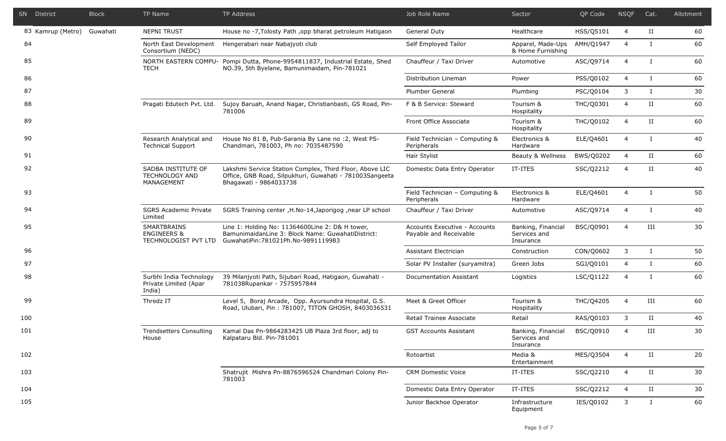|     | SN District       | <b>Block</b> | TP Name                                                       | <b>TP Address</b>                                                                                                                            | Job Role Name                                           | Sector                                          | <b>OP Code</b> | <b>NSQF</b>                     | Cat.                 | Allotment |                |              |    |
|-----|-------------------|--------------|---------------------------------------------------------------|----------------------------------------------------------------------------------------------------------------------------------------------|---------------------------------------------------------|-------------------------------------------------|----------------|---------------------------------|----------------------|-----------|----------------|--------------|----|
|     | 83 Kamrup (Metro) | Guwahati     | <b>NEPNI TRUST</b>                                            | House no -7, Tolosty Path, opp bharat petroleum Hatigaon                                                                                     | <b>General Duty</b>                                     | Healthcare                                      | HSS/Q5101      | 4                               | П                    | 60        |                |              |    |
| 84  |                   |              | Consortium (NEDC)                                             | North East Development Hengerabari near Nabajyoti club                                                                                       | Self Employed Tailor                                    | Apparel, Made-Ups<br>& Home Furnishing          | AMH/Q1947      | $\overline{4}$                  |                      | 60        |                |              |    |
| 85  |                   |              | TECH                                                          | NORTH EASTERN COMPU- Pompi Dutta, Phone-9954811837, Industrial Estate, Shed<br>NO.39, 5th Byelane, Bamunimaidam, Pin-781021                  | Chauffeur / Taxi Driver                                 | Automotive                                      | ASC/Q9714      | $\overline{4}$                  | T                    | 60        |                |              |    |
| 86  |                   |              |                                                               |                                                                                                                                              | Distribution Lineman                                    | Power                                           | PSS/Q0102      | $\overline{4}$                  | $\mathbf{I}$         | 60        |                |              |    |
| 87  |                   |              |                                                               |                                                                                                                                              | <b>Plumber General</b>                                  | Plumbing                                        | PSC/Q0104      | 3                               | T                    | 30        |                |              |    |
| 88  |                   |              | Pragati Edutech Pvt. Ltd.                                     | Sujoy Baruah, Anand Nagar, Christianbasti, GS Road, Pin-<br>781006                                                                           | F & B Service: Steward                                  | Tourism &<br>Hospitality                        | THC/Q0301      | $\overline{4}$                  | П                    | 60        |                |              |    |
| 89  |                   |              |                                                               |                                                                                                                                              | Front Office Associate                                  | Tourism &<br>Hospitality                        | THC/Q0102      | $\overline{4}$                  | $_{\rm II}$          | 60        |                |              |    |
| 90  |                   |              | Research Analytical and<br><b>Technical Support</b>           | House No 81 B, Pub-Sarania By Lane no : 2, West PS-<br>Chandmari, 781003, Ph no: 7035487590                                                  | Field Technician - Computing &<br>Peripherals           | Electronics &<br>Hardware                       | ELE/Q4601      | $\overline{4}$                  | T                    | 40        |                |              |    |
| 91  |                   |              |                                                               |                                                                                                                                              | Hair Stylist                                            | Beauty & Wellness                               | BWS/Q0202      | $\overline{4}$                  | $_{\rm II}$          | 60        |                |              |    |
| 92  |                   |              | SADBA INSTITUTE OF<br><b>TECHNOLOGY AND</b><br>MANAGEMENT     | Lakshmi Service Station Complex, Third Floor, Above LIC<br>Office, GNB Road, Silpukhuri, Guwahati - 781003Sangeeta<br>Bhagawati - 9864033738 | Domestic Data Entry Operator                            | IT-ITES                                         | SSC/Q2212      | $\overline{4}$                  | $\scriptstyle\rm II$ | 40        |                |              |    |
| 93  |                   |              |                                                               |                                                                                                                                              | Field Technician - Computing &<br>Peripherals           | Electronics &<br>Hardware                       | ELE/Q4601      | $\overline{4}$                  | T                    | 50        |                |              |    |
| 94  |                   |              | <b>SGRS Academic Private</b><br>Limited                       | SGRS Training center, H.No-14, Japorigog, near LP school                                                                                     | Chauffeur / Taxi Driver                                 | Automotive                                      | ASC/Q9714      | 4                               |                      | 40        |                |              |    |
| 95  |                   |              | SMARTBRAINS<br><b>ENGINEERS &amp;</b><br>TECHNOLOGIST PVT LTD | Line 1: Holding No: 11364600Line 2: D& H tower,<br>BamunimaidanLine 3: Block Name: GuwahatiDistrict:<br>GuwahatiPin: 781021Ph.No-9891119983  | Accounts Executive - Accounts<br>Payable and Receivable | Banking, Financial<br>Services and<br>Insurance | BSC/Q0901      | $\overline{4}$                  | III                  | 30        |                |              |    |
| 96  |                   |              |                                                               |                                                                                                                                              | Assistant Electrician                                   | Construction                                    | CON/Q0602      | 3                               | $\mathbf{I}$         | 50        |                |              |    |
| 97  |                   |              |                                                               |                                                                                                                                              |                                                         |                                                 |                | Solar PV Installer (suryamitra) | Green Jobs           | SGJ/Q0101 | $\overline{4}$ | $\mathbf{I}$ | 60 |
| 98  |                   |              | Surbhi India Technology<br>Private Limited (Apar<br>India)    | 39 Milanjyoti Path, Sijubari Road, Hatigaon, Guwahati -<br>781038Rupankar - 7575957844                                                       | Documentation Assistant                                 | Logistics                                       | LSC/Q1122      | $\overline{4}$                  |                      | 60        |                |              |    |
| 99  |                   |              | Thredz IT                                                     | Level 5, Boraj Arcade, Opp. Ayursundra Hospital, G.S.<br>Road, Ulubari, Pin: 781007, TITON GHOSH, 8403036531                                 | Meet & Greet Officer                                    | Tourism &<br>Hospitality                        | THC/Q4205      | $\overline{4}$                  | Ш                    | 60        |                |              |    |
| 100 |                   |              |                                                               |                                                                                                                                              | Retail Trainee Associate                                | Retail                                          | RAS/Q0103      | 3                               | П                    | 40        |                |              |    |
| 101 |                   |              | Trendsetters Consulting<br>House                              | Kamal Das Pn-9864283425 UB Plaza 3rd floor, adj to<br>Kalpataru Bld. Pin-781001                                                              | <b>GST Accounts Assistant</b>                           | Banking, Financial<br>Services and<br>Insurance | BSC/Q0910      | $\overline{4}$                  | III                  | 30        |                |              |    |
| 102 |                   |              |                                                               |                                                                                                                                              | Rotoartist                                              | Media &<br>Entertainment                        | MES/Q3504      | $\overline{4}$                  | $_{\rm II}$          | 20        |                |              |    |
| 103 |                   |              |                                                               | Shatrujit Mishra Pn-8876596524 Chandmari Colony Pin-<br>781003                                                                               | <b>CRM Domestic Voice</b>                               | IT-ITES                                         | SSC/Q2210      | $\overline{4}$                  | П                    | 30        |                |              |    |
| 104 |                   |              |                                                               |                                                                                                                                              | Domestic Data Entry Operator                            | IT-ITES                                         | SSC/Q2212      | $\overline{4}$                  | $\scriptstyle\rm II$ | 30        |                |              |    |
| 105 |                   |              |                                                               |                                                                                                                                              | Junior Backhoe Operator                                 | Infrastructure<br>Equipment                     | IES/Q0102      | 3                               | $\bf{I}$             | 60        |                |              |    |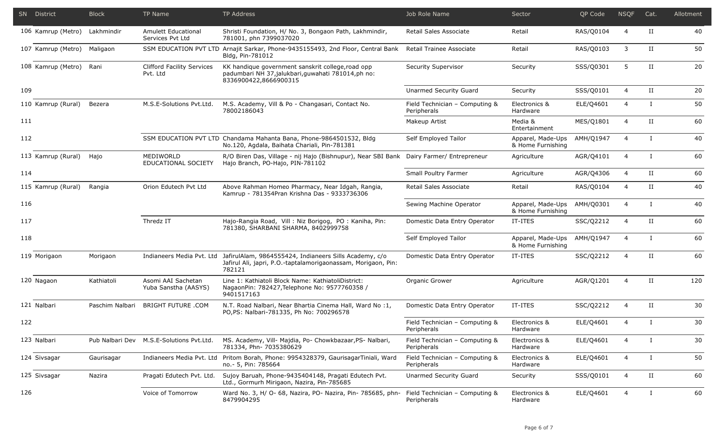|     | <b>SN</b> District | <b>Block</b>    | TP Name                                       | TP Address                                                                                                                                                  | Job Role Name                                 | Sector                                 | QP Code   | <b>NSQF</b>    | Cat.                 | Allotment |
|-----|--------------------|-----------------|-----------------------------------------------|-------------------------------------------------------------------------------------------------------------------------------------------------------------|-----------------------------------------------|----------------------------------------|-----------|----------------|----------------------|-----------|
|     | 106 Kamrup (Metro) | Lakhmindir      | Amulett Educational<br>Services Pvt Ltd       | Shristi Foundation, H/ No. 3, Bongaon Path, Lakhmindir,<br>781001, phn 7399037020                                                                           | Retail Sales Associate                        | Retail                                 | RAS/Q0104 | $\overline{4}$ | П                    | 40        |
|     | 107 Kamrup (Metro) | Maligaon        |                                               | SSM EDUCATION PVT LTD Arnajit Sarkar, Phone-9435155493, 2nd Floor, Central Bank<br>Bldg, Pin-781012                                                         | Retail Trainee Associate                      | Retail                                 | RAS/Q0103 | 3              | $_{\rm II}$          | 50        |
|     | 108 Kamrup (Metro) | Rani            | <b>Clifford Facility Services</b><br>Pvt. Ltd | KK handique government sanskrit college, road opp<br>padumbari NH 37,jalukbari,guwahati 781014,ph no:<br>8336900422,8666900315                              | Security Supervisor                           | Security                               | SSS/Q0301 | 5              | $_{\rm II}$          | 20        |
| 109 |                    |                 |                                               |                                                                                                                                                             | Unarmed Security Guard                        | Security                               | SSS/Q0101 | $\overline{4}$ | $_{\rm II}$          | 20        |
|     | 110 Kamrup (Rural) | Bezera          | M.S.E-Solutions Pvt.Ltd.                      | M.S. Academy, Vill & Po - Changasari, Contact No.<br>78002186043                                                                                            | Field Technician - Computing &<br>Peripherals | Electronics &<br>Hardware              | ELE/Q4601 | $\overline{4}$ | $\mathbf{I}$         | 50        |
| 111 |                    |                 |                                               |                                                                                                                                                             | Makeup Artist                                 | Media &<br>Entertainment               | MES/Q1801 | $\overline{4}$ | $_{\rm II}$          | 60        |
| 112 |                    |                 |                                               | SSM EDUCATION PVT LTD Chandama Mahanta Bana, Phone-9864501532, Bldg<br>No.120, Agdala, Baihata Chariali, Pin-781381                                         | Self Employed Tailor                          | Apparel, Made-Ups<br>& Home Furnishing | AMH/Q1947 | 4              | $\mathbf{I}$         | 40        |
|     | 113 Kamrup (Rural) | Hajo            | MEDIWORLD<br>EDUCATIONAL SOCIETY              | R/O Biren Das, Village - nij Hajo (Bishnupur), Near SBI Bank Dairy Farmer/ Entrepreneur<br>Hajo Branch, PO-Hajo, PIN-781102                                 |                                               | Agriculture                            | AGR/Q4101 | $\overline{4}$ | $\mathbf{I}$         | 60        |
| 114 |                    |                 |                                               |                                                                                                                                                             | Small Poultry Farmer                          | Agriculture                            | AGR/Q4306 | $\overline{4}$ | $\scriptstyle\rm II$ | 60        |
|     | 115 Kamrup (Rural) | Rangia          | Orion Edutech Pvt Ltd                         | Above Rahman Homeo Pharmacy, Near Idgah, Rangia,<br>Kamrup - 781354Pran Krishna Das - 9333736306                                                            | Retail Sales Associate                        | Retail                                 | RAS/Q0104 | 4              | П                    | 40        |
| 116 |                    |                 |                                               |                                                                                                                                                             | Sewing Machine Operator                       | Apparel, Made-Ups<br>& Home Furnishing | AMH/Q0301 | $\overline{4}$ | $\mathbf{I}$         | 40        |
| 117 |                    |                 | Thredz IT                                     | Hajo-Rangia Road, Vill: Niz Borigog, PO: Kaniha, Pin:<br>781380, SHARBANI SHARMA, 8402999758                                                                | Domestic Data Entry Operator                  | IT-ITES                                | SSC/Q2212 | 4              | $_{\rm II}$          | 60        |
| 118 |                    |                 |                                               |                                                                                                                                                             | Self Employed Tailor                          | Apparel, Made-Ups<br>& Home Furnishing | AMH/Q1947 | $\overline{4}$ | $\mathbf{I}$         | 60        |
|     | 119 Morigaon       | Morigaon        |                                               | Indianeers Media Pvt. Ltd JafirulAlam, 9864555424, Indianeers Sills Academy, c/o<br>Jafirul Ali, japri, P.O.-taptalamorigaonassam, Morigaon, Pin:<br>782121 | Domestic Data Entry Operator                  | IT-ITES                                | SSC/Q2212 | 4              | $_{\rm II}$          | 60        |
|     | 120 Nagaon         | Kathiatoli      | Asomi AAI Sachetan<br>Yuba Sanstha (AASYS)    | Line 1: Kathiatoli Block Name: KathiatoliDistrict:<br>NagaonPin: 782427, Telephone No: 9577760358 /<br>9401517163                                           | Organic Grower                                | Agriculture                            | AGR/Q1201 | $\overline{4}$ | $_{\rm II}$          | 120       |
|     | 121 Nalbari        | Paschim Nalbari | <b>BRIGHT FUTURE .COM</b>                     | N.T. Road Nalbari, Near Bhartia Cinema Hall, Ward No :1,<br>PO, PS: Nalbari-781335, Ph No: 700296578                                                        | Domestic Data Entry Operator                  | IT-ITES                                | SSC/Q2212 | $\overline{4}$ | $_{\rm II}$          | 30        |
| 122 |                    |                 |                                               |                                                                                                                                                             | Field Technician - Computing &<br>Peripherals | Electronics &<br>Hardware              | ELE/Q4601 | 4              | $\mathbf{I}$         | 30        |
|     | 123 Nalbari        |                 | Pub Nalbari Dev M.S.E-Solutions Pvt.Ltd.      | MS. Academy, Vill- Majdia, Po- Chowkbazaar, PS- Nalbari,<br>781334, Phn- 7035380629                                                                         | Field Technician - Computing &<br>Peripherals | Electronics &<br>Hardware              | ELE/Q4601 | $\overline{4}$ | T                    | 30        |
|     | 124 Sivsagar       | Gaurisagar      |                                               | Indianeers Media Pvt. Ltd Pritom Borah, Phone: 9954328379, GaurisagarTiniali, Ward<br>no.- 5, Pin: 785664                                                   | Field Technician - Computing &<br>Peripherals | Electronics &<br>Hardware              | ELE/Q4601 | 4              | Ι.                   | 50        |
|     | 125 Sivsagar       | Nazira          | Pragati Edutech Pvt. Ltd.                     | Sujoy Baruah, Phone-9435404148, Pragati Edutech Pvt.<br>Ltd., Gormurh Mirigaon, Nazira, Pin-785685                                                          | Unarmed Security Guard                        | Security                               | SSS/Q0101 | 4              | П                    | 60        |
| 126 |                    |                 | Voice of Tomorrow                             | Ward No. 3, H/ O- 68, Nazira, PO- Nazira, Pin- 785685, phn-<br>8479904295                                                                                   | Field Technician - Computing &<br>Peripherals | Electronics &<br>Hardware              | ELE/Q4601 | 4              | I                    | 60        |